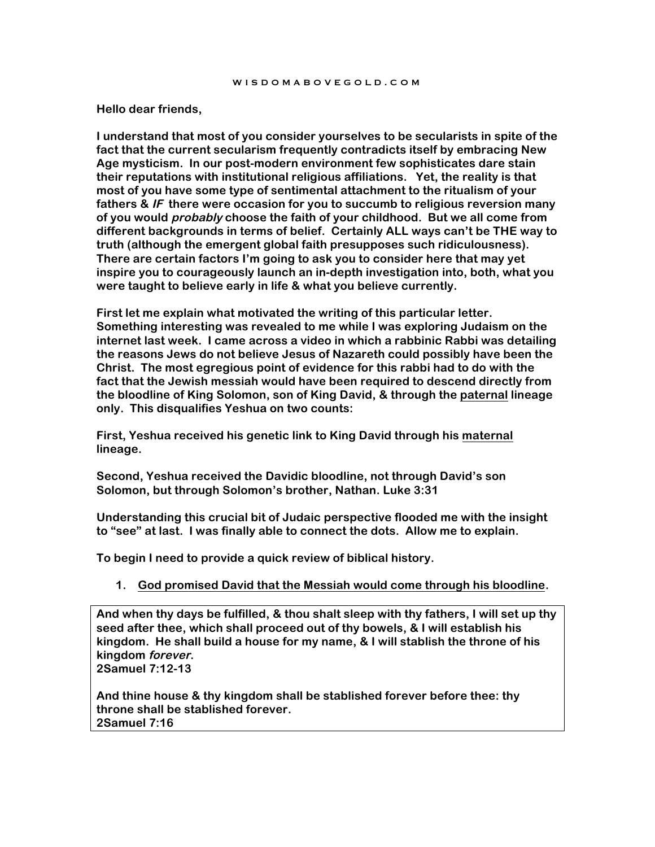#### **Hello dear friends,**

**I understand that most of you consider yourselves to be secularists in spite of the fact that the current secularism frequently contradicts itself by embracing New Age mysticism. In our post-modern environment few sophisticates dare stain their reputations with institutional religious affiliations. Yet, the reality is that most of you have some type of sentimental attachment to the ritualism of your fathers & IF there were occasion for you to succumb to religious reversion many of you would probably choose the faith of your childhood. But we all come from different backgrounds in terms of belief. Certainly ALL ways can't be THE way to truth (although the emergent global faith presupposes such ridiculousness). There are certain factors I'm going to ask you to consider here that may yet inspire you to courageously launch an in-depth investigation into, both, what you were taught to believe early in life & what you believe currently.**

**First let me explain what motivated the writing of this particular letter. Something interesting was revealed to me while I was exploring Judaism on the internet last week. I came across a video in which a rabbinic Rabbi was detailing the reasons Jews do not believe Jesus of Nazareth could possibly have been the Christ. The most egregious point of evidence for this rabbi had to do with the fact that the Jewish messiah would have been required to descend directly from the bloodline of King Solomon, son of King David, & through the paternal lineage only. This disqualifies Yeshua on two counts:** 

**First, Yeshua received his genetic link to King David through his maternal lineage.** 

**Second, Yeshua received the Davidic bloodline, not through David's son Solomon, but through Solomon's brother, Nathan. Luke 3:31**

**Understanding this crucial bit of Judaic perspective flooded me with the insight to "see" at last. I was finally able to connect the dots. Allow me to explain.**

**To begin I need to provide a quick review of biblical history.**

**1. God promised David that the Messiah would come through his bloodline.**

**And when thy days be fulfilled, & thou shalt sleep with thy fathers, I will set up thy seed after thee, which shall proceed out of thy bowels, & I will establish his kingdom. He shall build a house for my name, & I will stablish the throne of his kingdom forever.**

**2Samuel 7:12-13**

**And thine house & thy kingdom shall be stablished forever before thee: thy throne shall be stablished forever. 2Samuel 7:16**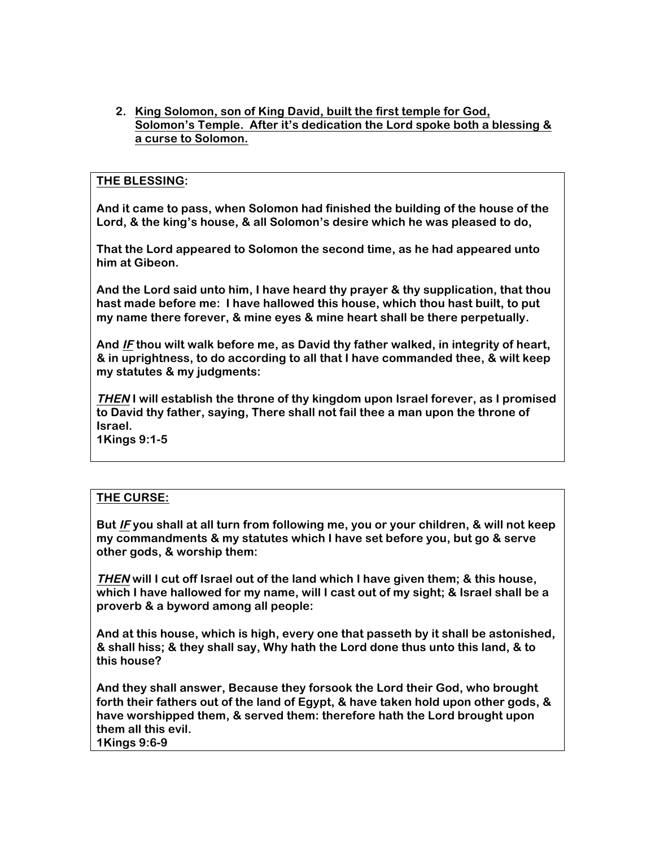**2. King Solomon, son of King David, built the first temple for God, Solomon's Temple. After it's dedication the Lord spoke both a blessing & a curse to Solomon.**

# **THE BLESSING:**

**And it came to pass, when Solomon had finished the building of the house of the Lord, & the king's house, & all Solomon's desire which he was pleased to do,**

**That the Lord appeared to Solomon the second time, as he had appeared unto him at Gibeon.**

**And the Lord said unto him, I have heard thy prayer & thy supplication, that thou hast made before me: I have hallowed this house, which thou hast built, to put my name there forever, & mine eyes & mine heart shall be there perpetually.** 

**And IF thou wilt walk before me, as David thy father walked, in integrity of heart, & in uprightness, to do according to all that I have commanded thee, & wilt keep my statutes & my judgments:**

**THEN I will establish the throne of thy kingdom upon Israel forever, as I promised to David thy father, saying, There shall not fail thee a man upon the throne of Israel.**

**1Kings 9:1-5**

# **THE CURSE:**

**But IF you shall at all turn from following me, you or your children, & will not keep my commandments & my statutes which I have set before you, but go & serve other gods, & worship them:**

**THEN will I cut off Israel out of the land which I have given them; & this house, which I have hallowed for my name, will I cast out of my sight; & Israel shall be a proverb & a byword among all people:** 

**And at this house, which is high, every one that passeth by it shall be astonished, & shall hiss; & they shall say, Why hath the Lord done thus unto this land, & to this house?**

**And they shall answer, Because they forsook the Lord their God, who brought forth their fathers out of the land of Egypt, & have taken hold upon other gods, & have worshipped them, & served them: therefore hath the Lord brought upon them all this evil. 1Kings 9:6-9**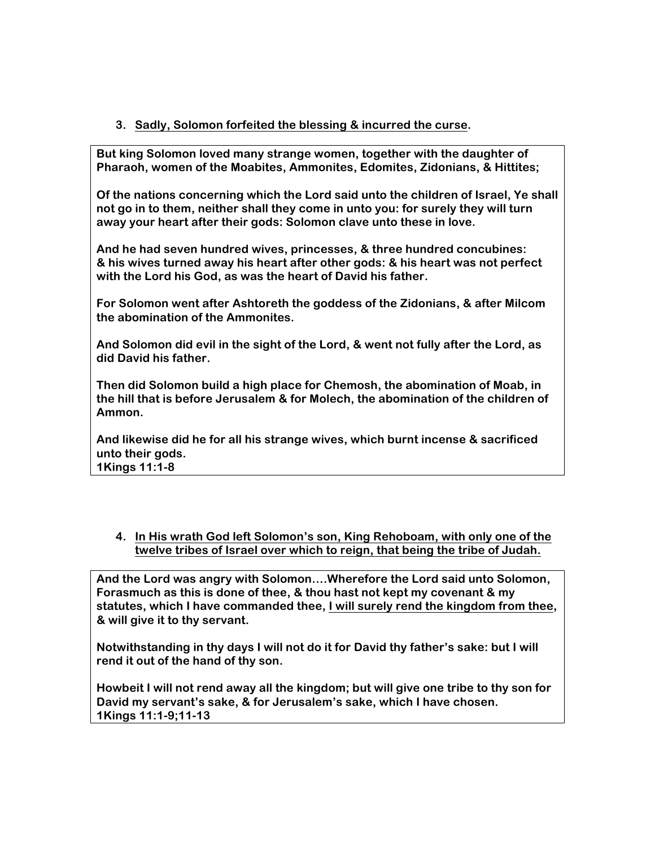# **3. Sadly, Solomon forfeited the blessing & incurred the curse.**

**But king Solomon loved many strange women, together with the daughter of Pharaoh, women of the Moabites, Ammonites, Edomites, Zidonians, & Hittites;**

**Of the nations concerning which the Lord said unto the children of Israel, Ye shall not go in to them, neither shall they come in unto you: for surely they will turn away your heart after their gods: Solomon clave unto these in love.**

**And he had seven hundred wives, princesses, & three hundred concubines: & his wives turned away his heart after other gods: & his heart was not perfect with the Lord his God, as was the heart of David his father.**

**For Solomon went after Ashtoreth the goddess of the Zidonians, & after Milcom the abomination of the Ammonites.**

**And Solomon did evil in the sight of the Lord, & went not fully after the Lord, as did David his father.**

**Then did Solomon build a high place for Chemosh, the abomination of Moab, in the hill that is before Jerusalem & for Molech, the abomination of the children of Ammon.**

**And likewise did he for all his strange wives, which burnt incense & sacrificed unto their gods. 1Kings 11:1-8**

**4. In His wrath God left Solomon's son, King Rehoboam, with only one of the twelve tribes of Israel over which to reign, that being the tribe of Judah.**

**And the Lord was angry with Solomon….Wherefore the Lord said unto Solomon, Forasmuch as this is done of thee, & thou hast not kept my covenant & my statutes, which I have commanded thee, I will surely rend the kingdom from thee, & will give it to thy servant.**

**Notwithstanding in thy days I will not do it for David thy father's sake: but I will rend it out of the hand of thy son.**

**Howbeit I will not rend away all the kingdom; but will give one tribe to thy son for David my servant's sake, & for Jerusalem's sake, which I have chosen. 1Kings 11:1-9;11-13**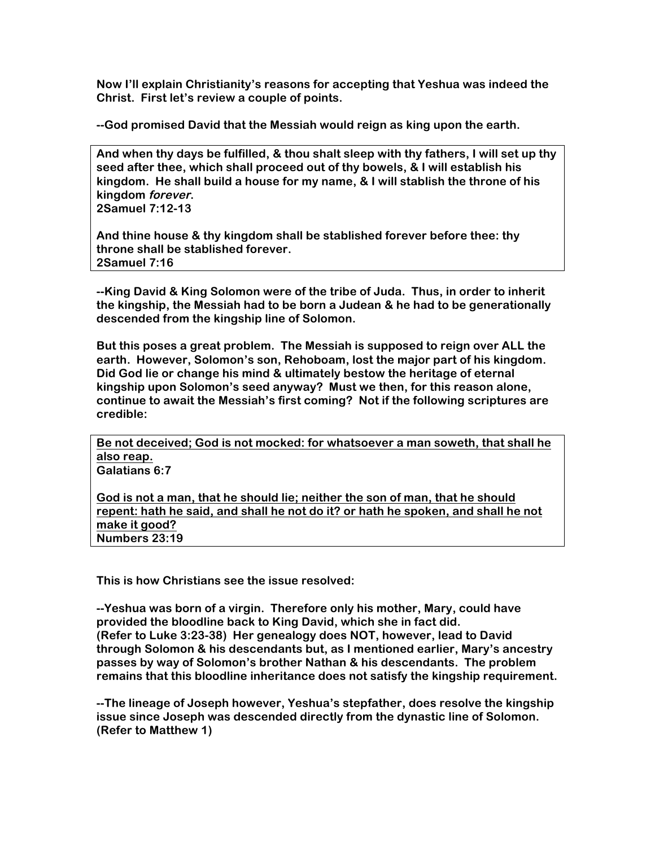**Now I'll explain Christianity's reasons for accepting that Yeshua was indeed the Christ. First let's review a couple of points.**

**--God promised David that the Messiah would reign as king upon the earth.**

**And when thy days be fulfilled, & thou shalt sleep with thy fathers, I will set up thy seed after thee, which shall proceed out of thy bowels, & I will establish his kingdom. He shall build a house for my name, & I will stablish the throne of his kingdom forever.**

**2Samuel 7:12-13**

**And thine house & thy kingdom shall be stablished forever before thee: thy throne shall be stablished forever. 2Samuel 7:16**

**--King David & King Solomon were of the tribe of Juda. Thus, in order to inherit the kingship, the Messiah had to be born a Judean & he had to be generationally descended from the kingship line of Solomon.**

**But this poses a great problem. The Messiah is supposed to reign over ALL the earth. However, Solomon's son, Rehoboam, lost the major part of his kingdom. Did God lie or change his mind & ultimately bestow the heritage of eternal kingship upon Solomon's seed anyway? Must we then, for this reason alone, continue to await the Messiah's first coming? Not if the following scriptures are credible:**

**Be not deceived; God is not mocked: for whatsoever a man soweth, that shall he also reap. Galatians 6:7**

**God is not a man, that he should lie; neither the son of man, that he should repent: hath he said, and shall he not do it? or hath he spoken, and shall he not make it good? Numbers 23:19**

**This is how Christians see the issue resolved:**

**--Yeshua was born of a virgin. Therefore only his mother, Mary, could have provided the bloodline back to King David, which she in fact did. (Refer to Luke 3:23-38) Her genealogy does NOT, however, lead to David through Solomon & his descendants but, as I mentioned earlier, Mary's ancestry passes by way of Solomon's brother Nathan & his descendants. The problem remains that this bloodline inheritance does not satisfy the kingship requirement.** 

**--The lineage of Joseph however, Yeshua's stepfather, does resolve the kingship issue since Joseph was descended directly from the dynastic line of Solomon. (Refer to Matthew 1)**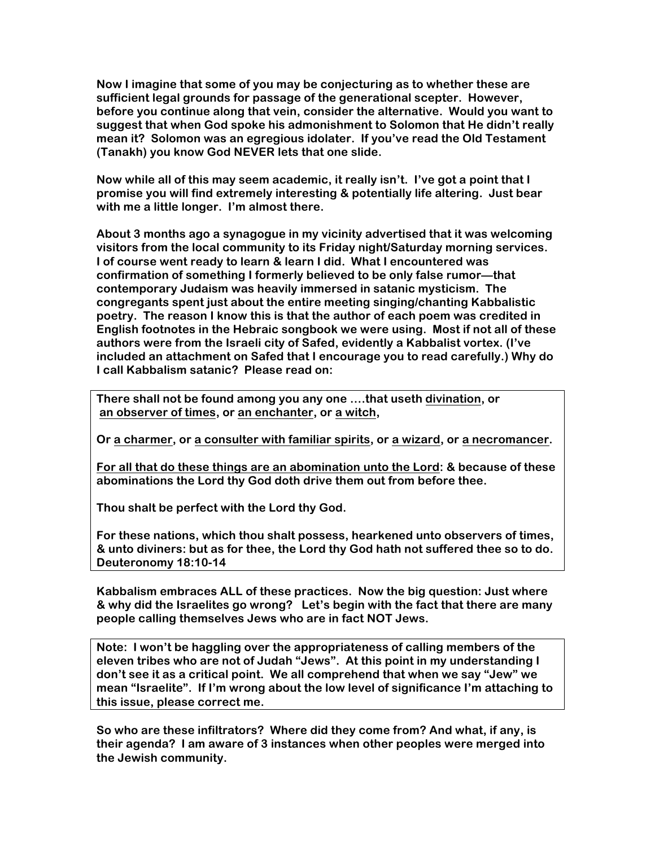**Now I imagine that some of you may be conjecturing as to whether these are sufficient legal grounds for passage of the generational scepter. However, before you continue along that vein, consider the alternative. Would you want to suggest that when God spoke his admonishment to Solomon that He didn't really mean it? Solomon was an egregious idolater. If you've read the Old Testament (Tanakh) you know God NEVER lets that one slide.**

**Now while all of this may seem academic, it really isn't. I've got a point that I promise you will find extremely interesting & potentially life altering. Just bear with me a little longer. I'm almost there.**

**About 3 months ago a synagogue in my vicinity advertised that it was welcoming visitors from the local community to its Friday night/Saturday morning services. I of course went ready to learn & learn I did. What I encountered was confirmation of something I formerly believed to be only false rumor—that contemporary Judaism was heavily immersed in satanic mysticism. The congregants spent just about the entire meeting singing/chanting Kabbalistic poetry. The reason I know this is that the author of each poem was credited in English footnotes in the Hebraic songbook we were using. Most if not all of these authors were from the Israeli city of Safed, evidently a Kabbalist vortex. (I've included an attachment on Safed that I encourage you to read carefully.) Why do I call Kabbalism satanic? Please read on:**

**There shall not be found among you any one ….that useth divination, or an observer of times, or an enchanter, or a witch,**

**Or a charmer, or a consulter with familiar spirits, or a wizard, or a necromancer.**

**For all that do these things are an abomination unto the Lord: & because of these abominations the Lord thy God doth drive them out from before thee.**

**Thou shalt be perfect with the Lord thy God.**

**For these nations, which thou shalt possess, hearkened unto observers of times, & unto diviners: but as for thee, the Lord thy God hath not suffered thee so to do. Deuteronomy 18:10-14**

**Kabbalism embraces ALL of these practices. Now the big question: Just where & why did the Israelites go wrong? Let's begin with the fact that there are many people calling themselves Jews who are in fact NOT Jews.** 

**Note: I won't be haggling over the appropriateness of calling members of the eleven tribes who are not of Judah "Jews". At this point in my understanding I don't see it as a critical point. We all comprehend that when we say "Jew" we mean "Israelite". If I'm wrong about the low level of significance I'm attaching to this issue, please correct me.**

**So who are these infiltrators? Where did they come from? And what, if any, is their agenda? I am aware of 3 instances when other peoples were merged into the Jewish community.**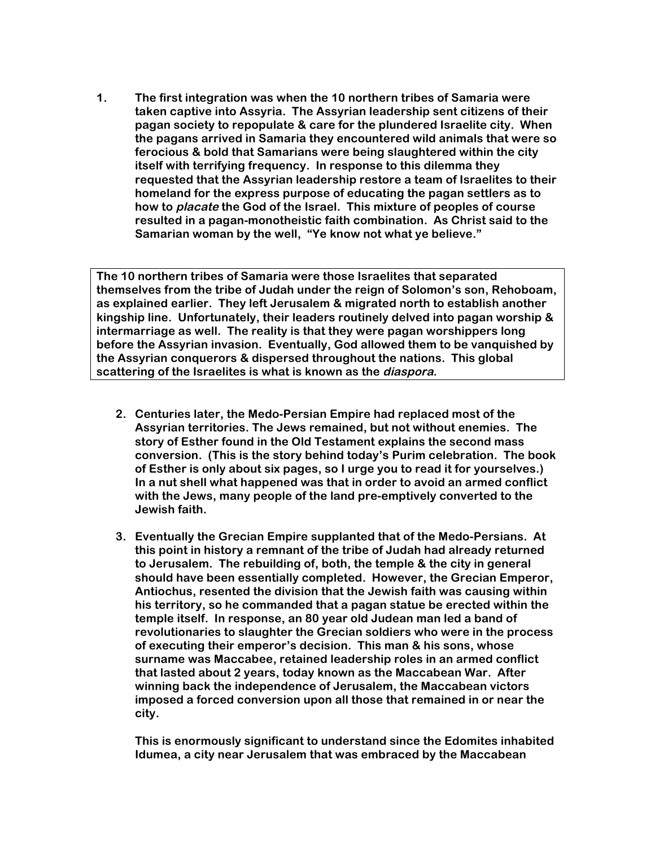**1. The first integration was when the 10 northern tribes of Samaria were taken captive into Assyria. The Assyrian leadership sent citizens of their pagan society to repopulate & care for the plundered Israelite city. When the pagans arrived in Samaria they encountered wild animals that were so ferocious & bold that Samarians were being slaughtered within the city itself with terrifying frequency. In response to this dilemma they requested that the Assyrian leadership restore a team of Israelites to their homeland for the express purpose of educating the pagan settlers as to how to placate the God of the Israel. This mixture of peoples of course resulted in a pagan-monotheistic faith combination. As Christ said to the Samarian woman by the well, "Ye know not what ye believe."** 

**The 10 northern tribes of Samaria were those Israelites that separated themselves from the tribe of Judah under the reign of Solomon's son, Rehoboam, as explained earlier. They left Jerusalem & migrated north to establish another kingship line. Unfortunately, their leaders routinely delved into pagan worship & intermarriage as well. The reality is that they were pagan worshippers long before the Assyrian invasion. Eventually, God allowed them to be vanquished by the Assyrian conquerors & dispersed throughout the nations. This global scattering of the Israelites is what is known as the diaspora.**

- **2. Centuries later, the Medo-Persian Empire had replaced most of the Assyrian territories. The Jews remained, but not without enemies. The story of Esther found in the Old Testament explains the second mass conversion. (This is the story behind today's Purim celebration. The book of Esther is only about six pages, so I urge you to read it for yourselves.) In a nut shell what happened was that in order to avoid an armed conflict with the Jews, many people of the land pre-emptively converted to the Jewish faith.**
- **3. Eventually the Grecian Empire supplanted that of the Medo-Persians. At this point in history a remnant of the tribe of Judah had already returned to Jerusalem. The rebuilding of, both, the temple & the city in general should have been essentially completed. However, the Grecian Emperor, Antiochus, resented the division that the Jewish faith was causing within his territory, so he commanded that a pagan statue be erected within the temple itself. In response, an 80 year old Judean man led a band of revolutionaries to slaughter the Grecian soldiers who were in the process of executing their emperor's decision. This man & his sons, whose surname was Maccabee, retained leadership roles in an armed conflict that lasted about 2 years, today known as the Maccabean War. After winning back the independence of Jerusalem, the Maccabean victors imposed a forced conversion upon all those that remained in or near the city.**

**This is enormously significant to understand since the Edomites inhabited Idumea, a city near Jerusalem that was embraced by the Maccabean**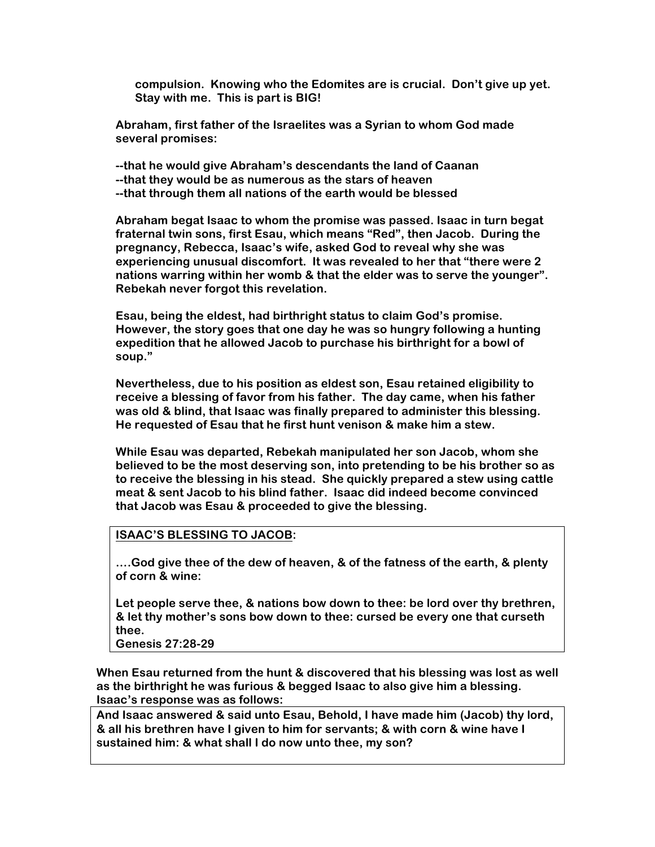**compulsion. Knowing who the Edomites are is crucial. Don't give up yet. Stay with me. This is part is BIG!**

**Abraham, first father of the Israelites was a Syrian to whom God made several promises:**

**--that he would give Abraham's descendants the land of Caanan --that they would be as numerous as the stars of heaven --that through them all nations of the earth would be blessed**

**Abraham begat Isaac to whom the promise was passed. Isaac in turn begat fraternal twin sons, first Esau, which means "Red", then Jacob. During the pregnancy, Rebecca, Isaac's wife, asked God to reveal why she was experiencing unusual discomfort. It was revealed to her that "there were 2 nations warring within her womb & that the elder was to serve the younger". Rebekah never forgot this revelation.** 

**Esau, being the eldest, had birthright status to claim God's promise. However, the story goes that one day he was so hungry following a hunting expedition that he allowed Jacob to purchase his birthright for a bowl of soup."**

**Nevertheless, due to his position as eldest son, Esau retained eligibility to receive a blessing of favor from his father. The day came, when his father was old & blind, that Isaac was finally prepared to administer this blessing. He requested of Esau that he first hunt venison & make him a stew.**

**While Esau was departed, Rebekah manipulated her son Jacob, whom she believed to be the most deserving son, into pretending to be his brother so as to receive the blessing in his stead. She quickly prepared a stew using cattle meat & sent Jacob to his blind father. Isaac did indeed become convinced that Jacob was Esau & proceeded to give the blessing.**

### **ISAAC'S BLESSING TO JACOB:**

**….God give thee of the dew of heaven, & of the fatness of the earth, & plenty of corn & wine:**

**Let people serve thee, & nations bow down to thee: be lord over thy brethren, & let thy mother's sons bow down to thee: cursed be every one that curseth thee.**

**Genesis 27:28-29** 

**When Esau returned from the hunt & discovered that his blessing was lost as well as the birthright he was furious & begged Isaac to also give him a blessing. Isaac's response was as follows:**

**And Isaac answered & said unto Esau, Behold, I have made him (Jacob) thy lord, & all his brethren have I given to him for servants; & with corn & wine have I sustained him: & what shall I do now unto thee, my son?**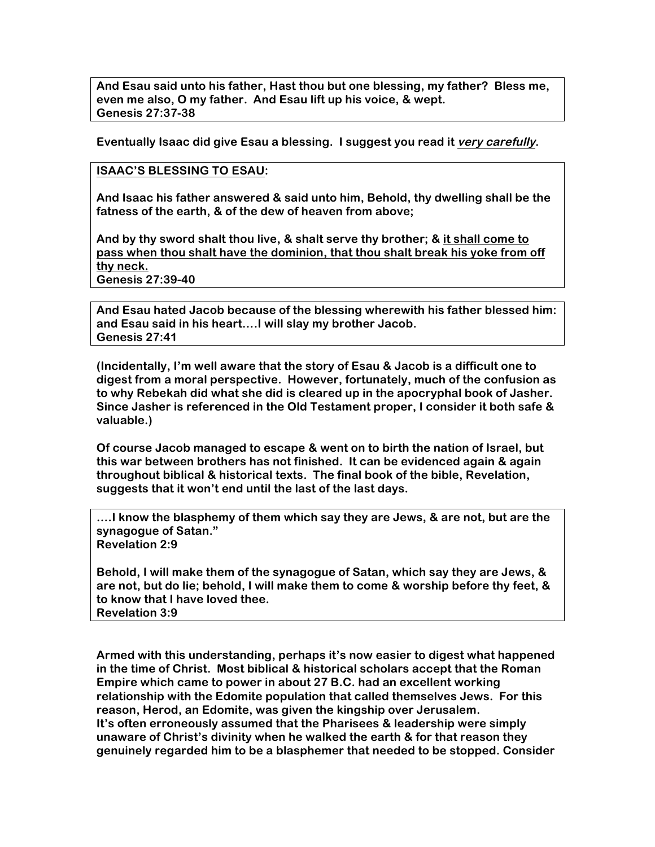**And Esau said unto his father, Hast thou but one blessing, my father? Bless me, even me also, O my father. And Esau lift up his voice, & wept. Genesis 27:37-38**

**Eventually Isaac did give Esau a blessing. I suggest you read it very carefully.**

### **ISAAC'S BLESSING TO ESAU:**

**And Isaac his father answered & said unto him, Behold, thy dwelling shall be the fatness of the earth, & of the dew of heaven from above;**

**And by thy sword shalt thou live, & shalt serve thy brother; & it shall come to pass when thou shalt have the dominion, that thou shalt break his yoke from off thy neck.**

**Genesis 27:39-40**

**And Esau hated Jacob because of the blessing wherewith his father blessed him: and Esau said in his heart….I will slay my brother Jacob. Genesis 27:41**

**(Incidentally, I'm well aware that the story of Esau & Jacob is a difficult one to digest from a moral perspective. However, fortunately, much of the confusion as to why Rebekah did what she did is cleared up in the apocryphal book of Jasher. Since Jasher is referenced in the Old Testament proper, I consider it both safe & valuable.)**

**Of course Jacob managed to escape & went on to birth the nation of Israel, but this war between brothers has not finished. It can be evidenced again & again throughout biblical & historical texts. The final book of the bible, Revelation, suggests that it won't end until the last of the last days.**

**….I know the blasphemy of them which say they are Jews, & are not, but are the synagogue of Satan." Revelation 2:9**

**Behold, I will make them of the synagogue of Satan, which say they are Jews, & are not, but do lie; behold, I will make them to come & worship before thy feet, & to know that I have loved thee. Revelation 3:9**

**Armed with this understanding, perhaps it's now easier to digest what happened in the time of Christ. Most biblical & historical scholars accept that the Roman Empire which came to power in about 27 B.C. had an excellent working relationship with the Edomite population that called themselves Jews. For this reason, Herod, an Edomite, was given the kingship over Jerusalem. It's often erroneously assumed that the Pharisees & leadership were simply unaware of Christ's divinity when he walked the earth & for that reason they genuinely regarded him to be a blasphemer that needed to be stopped. Consider**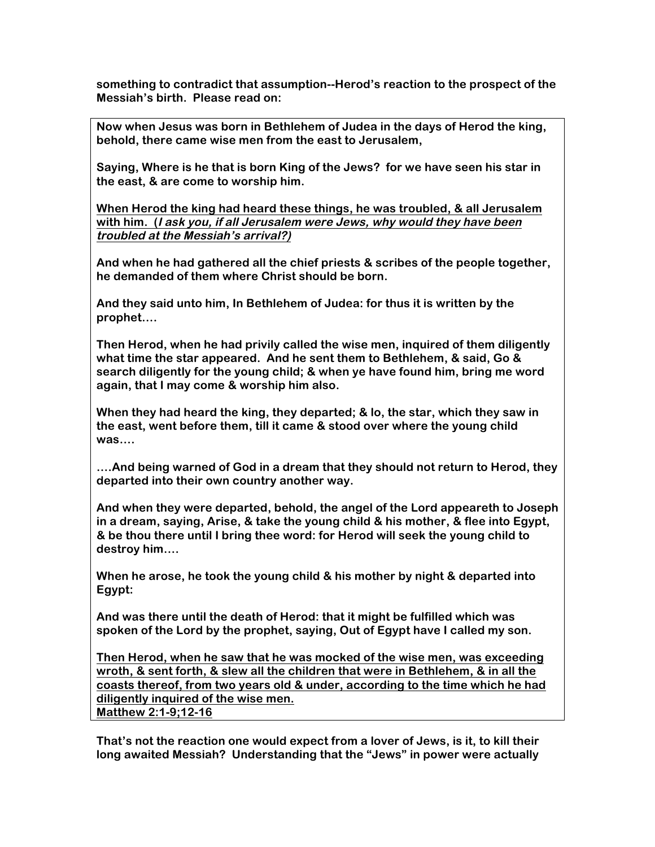**something to contradict that assumption--Herod's reaction to the prospect of the Messiah's birth. Please read on:**

**Now when Jesus was born in Bethlehem of Judea in the days of Herod the king, behold, there came wise men from the east to Jerusalem,**

**Saying, Where is he that is born King of the Jews? for we have seen his star in the east, & are come to worship him.** 

**When Herod the king had heard these things, he was troubled, & all Jerusalem with him. (I ask you, if all Jerusalem were Jews, why would they have been troubled at the Messiah's arrival?)**

**And when he had gathered all the chief priests & scribes of the people together, he demanded of them where Christ should be born.**

**And they said unto him, In Bethlehem of Judea: for thus it is written by the prophet….**

**Then Herod, when he had privily called the wise men, inquired of them diligently what time the star appeared. And he sent them to Bethlehem, & said, Go & search diligently for the young child; & when ye have found him, bring me word again, that I may come & worship him also.**

**When they had heard the king, they departed; & lo, the star, which they saw in the east, went before them, till it came & stood over where the young child was….**

**….And being warned of God in a dream that they should not return to Herod, they departed into their own country another way.**

**And when they were departed, behold, the angel of the Lord appeareth to Joseph in a dream, saying, Arise, & take the young child & his mother, & flee into Egypt, & be thou there until I bring thee word: for Herod will seek the young child to destroy him….**

**When he arose, he took the young child & his mother by night & departed into Egypt:**

**And was there until the death of Herod: that it might be fulfilled which was spoken of the Lord by the prophet, saying, Out of Egypt have I called my son.**

**Then Herod, when he saw that he was mocked of the wise men, was exceeding wroth, & sent forth, & slew all the children that were in Bethlehem, & in all the coasts thereof, from two years old & under, according to the time which he had diligently inquired of the wise men. Matthew 2:1-9;12-16**

**That's not the reaction one would expect from a lover of Jews, is it, to kill their long awaited Messiah? Understanding that the "Jews" in power were actually**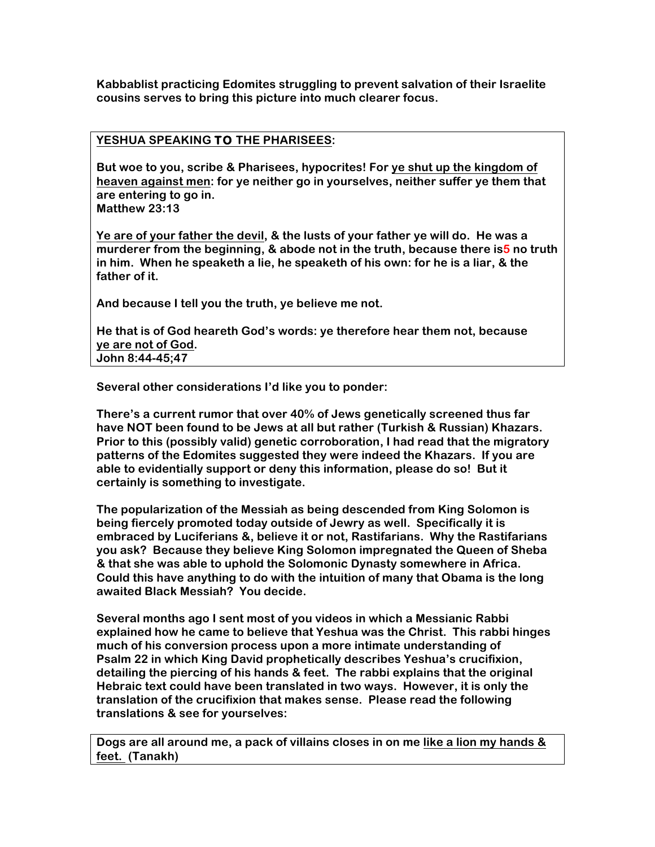**Kabbablist practicing Edomites struggling to prevent salvation of their Israelite cousins serves to bring this picture into much clearer focus.**

## **YESHUA SPEAKING TO THE PHARISEES:**

**But woe to you, scribe & Pharisees, hypocrites! For ye shut up the kingdom of heaven against men: for ye neither go in yourselves, neither suffer ye them that are entering to go in.**

**Matthew 23:13**

**Ye are of your father the devil, & the lusts of your father ye will do. He was a murderer from the beginning, & abode not in the truth, because there is5 no truth in him. When he speaketh a lie, he speaketh of his own: for he is a liar, & the father of it.**

**And because I tell you the truth, ye believe me not.**

**He that is of God heareth God's words: ye therefore hear them not, because ye are not of God. John 8:44-45;47**

**Several other considerations I'd like you to ponder:**

**There's a current rumor that over 40% of Jews genetically screened thus far have NOT been found to be Jews at all but rather (Turkish & Russian) Khazars. Prior to this (possibly valid) genetic corroboration, I had read that the migratory patterns of the Edomites suggested they were indeed the Khazars. If you are able to evidentially support or deny this information, please do so! But it certainly is something to investigate.**

**The popularization of the Messiah as being descended from King Solomon is being fiercely promoted today outside of Jewry as well. Specifically it is embraced by Luciferians &, believe it or not, Rastifarians. Why the Rastifarians you ask? Because they believe King Solomon impregnated the Queen of Sheba & that she was able to uphold the Solomonic Dynasty somewhere in Africa. Could this have anything to do with the intuition of many that Obama is the long awaited Black Messiah? You decide.**

**Several months ago I sent most of you videos in which a Messianic Rabbi explained how he came to believe that Yeshua was the Christ. This rabbi hinges much of his conversion process upon a more intimate understanding of Psalm 22 in which King David prophetically describes Yeshua's crucifixion, detailing the piercing of his hands & feet. The rabbi explains that the original Hebraic text could have been translated in two ways. However, it is only the translation of the crucifixion that makes sense. Please read the following translations & see for yourselves:**

**Dogs are all around me, a pack of villains closes in on me like a lion my hands & feet. (Tanakh)**